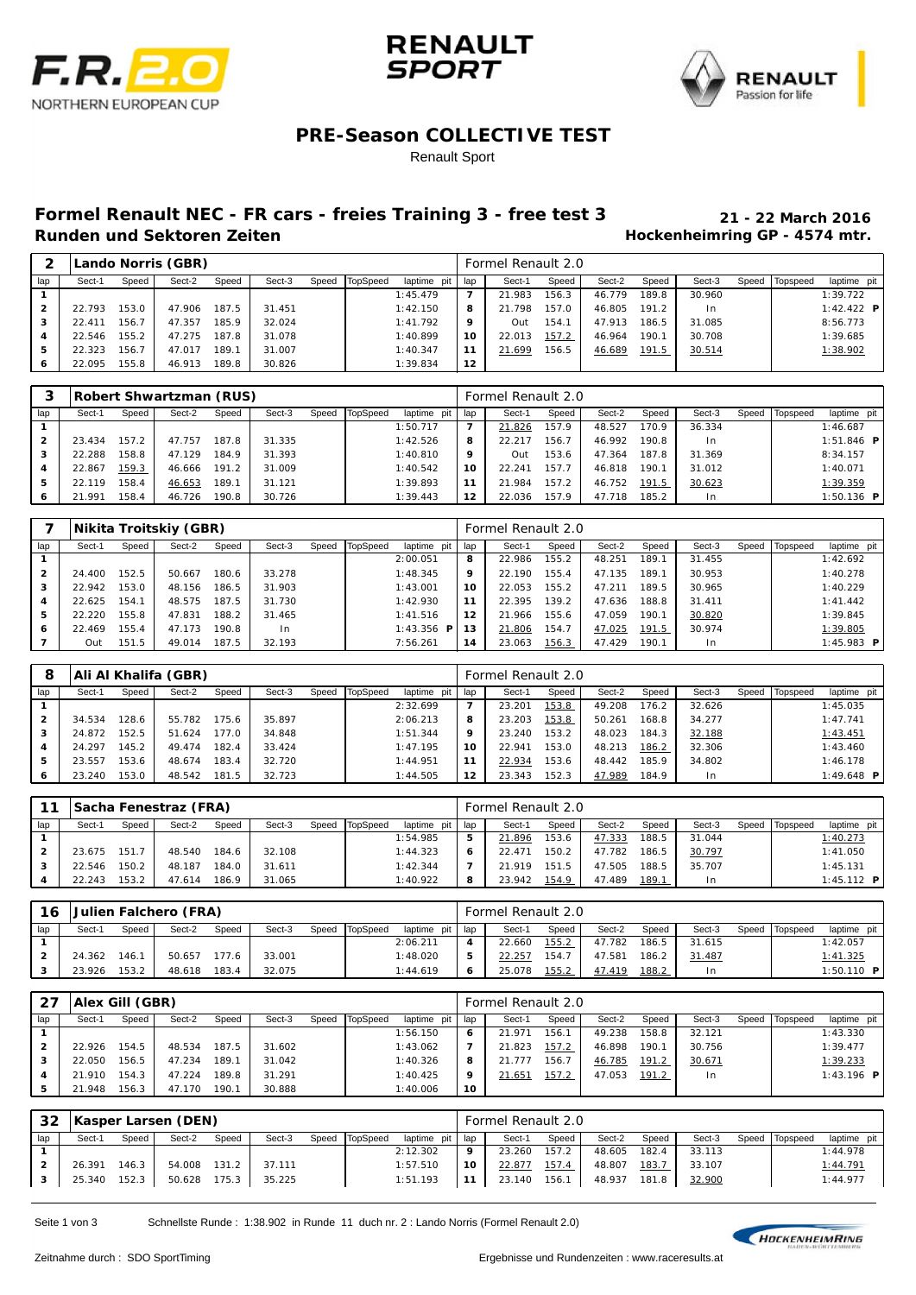





#### **PRE-Season COLLECTIVE TEST**

#### Renault Sport

# **Formel Renault NEC - FR cars - freies Training 3 - free test 3 21 - 22 March 2016**

### **Hockenheimring GP - 4574 mtr.**

|           |        | Lando Norris (GBR)<br>TopSpeed<br>Sect-2<br>Speed<br>Sect-3<br>Sect-1<br>Speed<br>Speed<br>187.5<br>22.793<br>153.0<br>47.906<br>31.451<br>85.9<br>47.357<br>32.024<br>156.7<br>22.411<br>31.078<br>187.8<br>47.275<br>22.546 |        |      |        |  |  |             |     | Formel Renault 2.0 |       |        |       |                |       |          |                   |
|-----------|--------|-------------------------------------------------------------------------------------------------------------------------------------------------------------------------------------------------------------------------------|--------|------|--------|--|--|-------------|-----|--------------------|-------|--------|-------|----------------|-------|----------|-------------------|
| lap       |        |                                                                                                                                                                                                                               |        |      |        |  |  | laptime pit | lap | Sect-1             | Speed | Sect-2 | Speed | Sect-3         | Speed | Topspeed | laptime pit       |
|           |        |                                                                                                                                                                                                                               |        |      |        |  |  | 1:45.479    | 7   | 21.983             | 156.3 | 46.779 | 189.8 | 30.960         |       |          | 1:39.722          |
|           |        |                                                                                                                                                                                                                               |        |      |        |  |  | 1:42.150    | 8   | 21.798             | 157.0 | 46.805 | 191.2 | 1 <sub>n</sub> |       |          | 1:42.422 <b>P</b> |
| 3         |        |                                                                                                                                                                                                                               |        |      |        |  |  | 1:41.792    | 9   | Out                | 154.1 | 47.913 | 186.5 | 31.085         |       |          | 8:56.773          |
| 4         |        | 155.2                                                                                                                                                                                                                         |        |      |        |  |  | 1:40.899    | 10  | 22.013             | 157.2 | 46.964 | 190.1 | 30.708         |       |          | 1:39.685          |
| 5         | 22.323 | 156.7                                                                                                                                                                                                                         | 47.017 | 189. | 31.007 |  |  | 1:40.347    | 11  | 21.699             | 156.5 | 46.689 | 191.5 | 30.514         |       |          | 1:38.902          |
| $\bullet$ | 22.095 | 155.8                                                                                                                                                                                                                         | 46.913 | 89.8 | 30.826 |  |  | 1:39.834    | 12  |                    |       |        |       |                |       |          |                   |

|     |        |                                                         | Robert Shwartzman (RUS) |       |        |  |  |             |     | Formel Renault 2.0 |       |        |       |        |       |          |                     |
|-----|--------|---------------------------------------------------------|-------------------------|-------|--------|--|--|-------------|-----|--------------------|-------|--------|-------|--------|-------|----------|---------------------|
| lap | Sect-1 | TopSpeed<br>Sect-2<br>Sect-3<br>Speed<br>Speed<br>Speed |                         |       |        |  |  | laptime pit | lap | Sect-1             | Speed | Sect-2 | Speed | Sect-3 | Speed | Topspeed | laptime pit         |
|     |        |                                                         |                         |       |        |  |  | 1:50.717    | –   | 21.826             | 157.9 | 48.527 | 70.9  | 36.334 |       |          | 1:46.687            |
|     | 23.434 | 157.2                                                   | 47.757                  | 187.8 | 31.335 |  |  | 1:42.526    | 8   | 22.217             | 156.7 | 46.992 | 190.8 | $\ln$  |       |          | $1:51.846$ <b>P</b> |
| з   | 22.288 | 158.8                                                   | 47.129                  | 184.9 | 31.393 |  |  | 1:40.810    | 9   | Out                | 153.6 | 47.364 | 187.8 | 31.369 |       |          | 8:34.157            |
| 4   | 22.867 | 159.3                                                   | 46.666                  | 191.2 | 31.009 |  |  | 1:40.542    | 10  | 22.241             | 157.7 | 46.818 | 190.1 | 31.012 |       |          | 1:40.071            |
| 5   | 22.119 | 158.4                                                   | 46.653                  | 189.1 | 31.121 |  |  | 1:39.893    | 11  | 21.984             | 157.2 | 46.752 | 191.5 | 30.623 |       |          | 1:39.359            |
| 6   | 21.991 | 158.4                                                   | 46.726                  | 190.8 | 30.726 |  |  | 1:39.443    | 12  | 22.036             | 157.9 | 47.718 | 185.2 | I n    |       |          | $1:50.136$ <b>P</b> |

|     | Nikita Troitskiy (GBR)<br>TopSpeed<br>Sect-2<br>Speed<br>Sect-3<br>Speed<br>Speed<br>Sect-1<br>180.6<br>152.5<br>33.278<br>24.400<br>50.667<br>31.903<br>153.0<br>48.156<br>186.5<br>22.942<br>31.730<br>187.5<br>154.1<br>48.575<br>22.625 |       |        |       |        |  |  |                   |     | Formel Renault 2.0 |       |        |       |                |       |          |              |
|-----|---------------------------------------------------------------------------------------------------------------------------------------------------------------------------------------------------------------------------------------------|-------|--------|-------|--------|--|--|-------------------|-----|--------------------|-------|--------|-------|----------------|-------|----------|--------------|
| lap |                                                                                                                                                                                                                                             |       |        |       |        |  |  | laptime pit       | lap | Sect-1             | Speed | Sect-2 | Speed | Sect-3         | Speed | Topspeed | laptime pit  |
|     |                                                                                                                                                                                                                                             |       |        |       |        |  |  | 2:00.051          | 8   | 22.986             | 155.2 | 48.251 | 189.1 | 31.455         |       |          | 1:42.692     |
|     |                                                                                                                                                                                                                                             |       |        |       |        |  |  | 1:48.345          | 9   | 22.190             | 155.4 | 47.135 | 189.1 | 30.953         |       |          | 1:40.278     |
|     |                                                                                                                                                                                                                                             |       |        |       |        |  |  | 1:43.001          | 10  | 22.053             | 155.2 | 47.211 | 189.5 | 30.965         |       |          | 1:40.229     |
| 4   |                                                                                                                                                                                                                                             |       |        |       |        |  |  | 1:42.930          | 11  | 22.395             | 139.2 | 47.636 | 188.8 | 31.411         |       |          | 1: 41.442    |
| 5   | 22.220                                                                                                                                                                                                                                      | 155.8 | 47.831 | 188.2 | 31.465 |  |  | 1:41.516          | 12  | 21.966             | 155.6 | 47.059 | 190.1 | 30.820         |       |          | 1:39.845     |
| ь   | 22.469                                                                                                                                                                                                                                      | 155.4 | 47.173 | 190.8 | In.    |  |  | 1:43.356 <b>P</b> | 13  | 21.806             | 154.7 | 47.025 | 191.5 | 30.974         |       |          | 1:39.805     |
|     | Out                                                                                                                                                                                                                                         | 151.5 | 49.014 | 187.5 | 32.193 |  |  | 7:56.261          | 14  | 23.063             | 156.3 | 47.429 | 190.1 | 1 <sub>n</sub> |       |          | 1:45.983 $P$ |

| 8              |        |       | Ali Al Khalifa (GBR) |       |        |       |          |             |     | Formel Renault 2.0 |       |        |       |        |       |          |             |
|----------------|--------|-------|----------------------|-------|--------|-------|----------|-------------|-----|--------------------|-------|--------|-------|--------|-------|----------|-------------|
| lap            | Sect-1 | Speed | Sect-2               | Speed | Sect-3 | Speed | TopSpeed | laptime pit | lap | Sect-1             | Speed | Sect-2 | Speed | Sect-3 | Speed | Topspeed | laptime pit |
|                |        |       |                      |       |        |       |          | 2:32.699    |     | 23.201             | 153.8 | 49.208 | 176.2 | 32.626 |       |          | 1:45.035    |
| $\overline{2}$ | 34.534 | 128.6 | 55.782               | 175.6 | 35.897 |       |          | 2:06.213    | 8   | 23.203             | 153.8 | 50.261 | 168.8 | 34.277 |       |          | 1:47.741    |
| 3              | 24.872 | 152.5 | 51.624               | 177.0 | 34.848 |       |          | 1:51.344    | 9   | 23.240             | 153.2 | 48.023 | 184.3 | 32.188 |       |          | 1:43.451    |
|                | 24.297 | 145.2 | 49.474               | 182.4 | 33.424 |       |          | 1:47.195    | 10  | 22.941             | 153.0 | 48.213 | 186.2 | 32.306 |       |          | 1:43.460    |
| 5              | 23.557 | 153.6 | 48.674               | 183.4 | 32.720 |       |          | 1:44.951    |     | 22.934             | 153.6 | 48.442 | 185.9 | 34.802 |       |          | 1:46.178    |
| 6              | 23.240 | 153.0 | 48.542               | 181.5 | 32.723 |       |          | 1:44.505    | 12  | 23.343             | 152.3 | 47.989 | 184.9 | I n    |       |          | 1:49.648 P  |

|     |        |       | <b>Sacha Fenestraz (FRA)</b> |       |        |       |          |             |       | Formel Renault 2.0 |       |        |       |                |       |          |              |
|-----|--------|-------|------------------------------|-------|--------|-------|----------|-------------|-------|--------------------|-------|--------|-------|----------------|-------|----------|--------------|
| lap | Sect-1 | Speed | Sect-2                       | Speed | Sect-3 | Speed | TopSpeed | laptime pit | I lap | Sect-1             | Speed | Sect-2 | Speed | Sect-3         | Speed | Topspeed | laptime pit  |
|     |        |       |                              |       |        |       |          | 1:54.985    | 5     | 21.896             | 153.6 | 47.333 | 188.5 | 31.044         |       |          | 1:40.273     |
|     | 23.675 | 151   | 48.540                       | 184.6 | 32.108 |       |          | 1:44.323    | 6     | 22.471             | 150.2 | 47.782 | 186.5 | 30.797         |       |          | 1:41.050     |
|     | 22.546 | 150.2 | 48.187                       | 184.0 | 31.611 |       |          | 1:42.344    | п,    | 21 919             | 151.5 | 47.505 | 188.5 | 35.707         |       |          | 1:45.131     |
|     | 22.243 | 153.2 | 47.614                       | 186.9 | 31.065 |       |          | 1:40.922    | 8     | 23.942             | 154.9 | 47.489 | 189.1 | 1 <sub>n</sub> |       |          | 1:45.112 $P$ |

| 16  |        |       | Julien Falchero (FRA) |       |        |                |               |       | Formel Renault 2.0 |               |        |       |        |                |                   |
|-----|--------|-------|-----------------------|-------|--------|----------------|---------------|-------|--------------------|---------------|--------|-------|--------|----------------|-------------------|
| lap | Sect-1 | Speed | Sect-2                | Speed | Sect-3 | Speed TopSpeed | laptime pit I | l lap | Sect-1             | Speed         | Sect-2 | Speed | Sect-3 | Speed Topspeed | laptime pit       |
|     |        |       |                       |       |        |                | 2:06.211      | 4     | 22.660             | 155.2         | 47.782 | 186.5 | 31.615 |                | 1:42.057          |
|     | 24.362 | 146.1 | 50.657                | 177.6 | 33.001 |                | 1:48.020      | 5     | 22.257             | 154.7         | 47.581 | 186.2 | 31.487 |                | 1:41.325          |
|     | 23.926 | 153.2 | 48.618                | 183.4 | 32.075 |                | 1:44.619      | ь     | 25.078             | <u> 155.2</u> | 47.419 | 188.2 | 1n     |                | 1:50.110 <b>P</b> |

| 27             | Alex Gill (GBR)<br>TopSpeed<br>Sect-3<br>Sect-2<br>Speed<br>Sect-1<br>Speed<br>Speed<br>187.5<br>154.5<br>48.534<br>22.926<br>31.602 |       |        |       |        |  |  |             |     | Formel Renault 2.0 |       |        |       |        |       |          |              |
|----------------|--------------------------------------------------------------------------------------------------------------------------------------|-------|--------|-------|--------|--|--|-------------|-----|--------------------|-------|--------|-------|--------|-------|----------|--------------|
| lap            |                                                                                                                                      |       |        |       |        |  |  | laptime pit | lap | Sect-1             | Speed | Sect-2 | Speed | Sect-3 | Speed | Topspeed | laptime pit  |
|                |                                                                                                                                      |       |        |       |        |  |  | 1:56.150    | 6   | 21.971             | 156.1 | 49.238 | 158.8 | 32.121 |       |          | 1:43.330     |
| $\overline{2}$ |                                                                                                                                      |       |        |       |        |  |  | 1:43.062    |     | 21.823             | 157.2 | 46.898 | 190.1 | 30.756 |       |          | 1:39.477     |
| з              | 22.050                                                                                                                               | 156.5 | 47.234 | 189.  | 31.042 |  |  | 1:40.326    | 8   | 21.777             | 156.7 | 46.785 | 191.2 | 30.671 |       |          | 1:39.233     |
|                | 21.910                                                                                                                               | 154.3 | 47.224 | 189.8 | 31.291 |  |  | 1:40.425    | 9   | 21.651             | 157.2 | 47.053 | 191.2 | 1n     |       |          | 1:43.196 $P$ |
|                | 21.948                                                                                                                               | 156.3 | 47.170 | 190.1 | 30.888 |  |  | 1:40.006    | 10  |                    |       |        |       |        |       |          |              |

| 32  |        |       | Kasper Larsen (DEN) |       |        |                |             |     | Formel Renault 2.0 |       |        |       |        |       |          |             |
|-----|--------|-------|---------------------|-------|--------|----------------|-------------|-----|--------------------|-------|--------|-------|--------|-------|----------|-------------|
| lap | Sect-1 | Speed | Sect-2              | Speed | Sect-3 | Speed TopSpeed | laptime pit | lap | Sect-1             | Speed | Sect-2 | Speed | Sect-3 | Speed | Topspeed | laptime pit |
|     |        |       |                     |       |        |                | 2:12.302    | o   | 23.260             | 157.2 | 48.605 | 182.4 | 33.113 |       |          | 1:44.978    |
|     | 26.391 | 146.3 | 54.008              | 131.2 | 37.111 |                | 1:57.510    | 10  | 22.877             | 157.4 | 48.807 | 183.7 | 33.107 |       |          | 1:44.791    |
|     | 25.340 | 152.3 | 50.628              | 175.3 | 35.225 |                | 1:51.193    | 11  | 23.140             | 156.1 | 48.937 | 181.8 | 32.900 |       |          | 1:44.977    |

Seite 1 von 3 Schnellste Runde : 1:38.902 in Runde 11 duch nr. 2 : Lando Norris (Formel Renault 2.0)

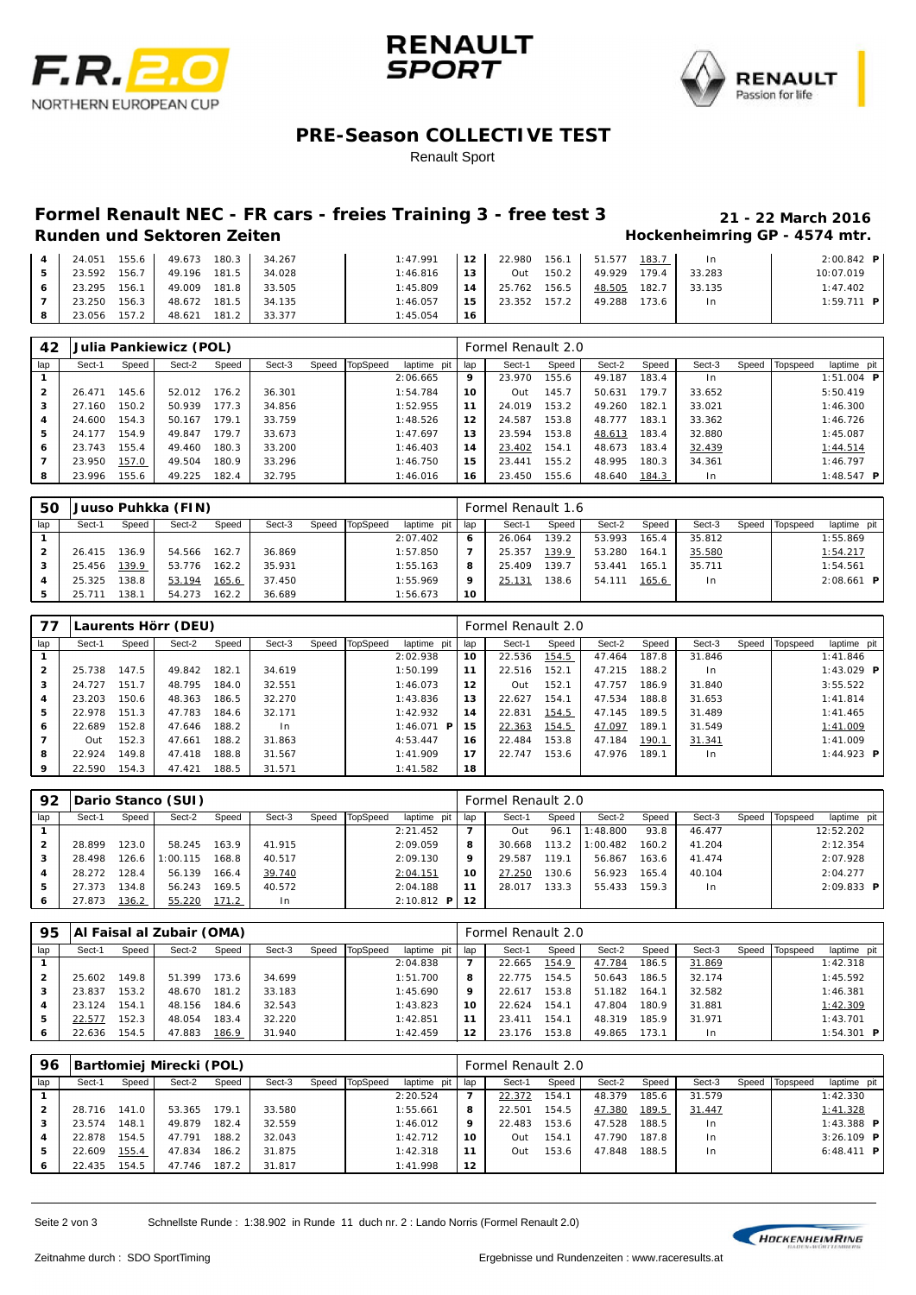





### **PRE-Season COLLECTIVE TEST**

Renault Sport

# **Formel Renault NEC - FR cars - freies Training 3 - free test 3 21 - 22 March 2016**

## **Hockenheimring GP - 4574 mtr.**

| 24.051 | $155.6$ | 49.673 | 180.3              | 34.267 | 1:47.991 | 12 | 22.980 | 156.1 | 51.577 | 183.7 | -In    | $2:00.842$ P |
|--------|---------|--------|--------------------|--------|----------|----|--------|-------|--------|-------|--------|--------------|
| 23.592 | 156.7   | 49.196 | 181.5              | 34.028 | 1:46.816 | 13 | Out    | 150.2 | 49.929 | 179.4 | 33.283 | 10:07.019    |
| 23.295 | 156.1   | 49.009 | 181.8 <sub>1</sub> | 33.505 | 1:45.809 | 14 | 25.762 | 156.5 | 48.505 | 182.7 | 33.135 | 1:47.402     |
| 23.250 | 156.3   | 48.672 | 181.5              | 34.135 | 1:46.057 | 15 | 23.352 | 157.2 | 49.288 | 173.6 | 1n     | $1:59.711$ P |
| 23.056 | 157.2   | 48.621 | 181.2              | 33.377 | 1:45.054 | 16 |        |       |        |       |        |              |

| 42             |        |       | Julia Pankiewicz (POL) |       |        |       |          |             |                   | Formel Renault 2.0 |       |        |       |                |       |          |                     |  |
|----------------|--------|-------|------------------------|-------|--------|-------|----------|-------------|-------------------|--------------------|-------|--------|-------|----------------|-------|----------|---------------------|--|
| lap            | Sect-1 | Speed | Sect-2                 | Speed | Sect-3 | Speed | TopSpeed | laptime pit | lap               | Sect-1             | Speed | Sect-2 | Speed | Sect-3         | Speed | Topspeed | laptime pit         |  |
|                |        |       |                        |       |        |       |          | 2:06.665    | 9                 | 23.970             | 155.6 | 49.187 | 183.4 | 1 <sub>n</sub> |       |          | $1:51.004$ <b>P</b> |  |
| $\overline{2}$ | 26.471 | 145.6 | 52.012                 | 176.2 | 36.301 |       |          | 1:54.784    | 10                | Out                | 145.7 | 50.631 | 179.7 | 33.652         |       |          | 5:50.419            |  |
| 3              | 27.160 | 150.2 | 50.939                 | 177.3 | 34.856 |       |          | 1:52.955    | 11                | 24.019             | 153.2 | 49.260 | 182.1 | 33.021         |       |          | 1:46.300            |  |
| 4              | 24.600 | 154.3 | 50.167                 | 79.1  | 33.759 |       |          | 1:48.526    | $12 \overline{ }$ | 24.587             | 153.8 | 48.777 | 183.1 | 33.362         |       |          | 1:46.726            |  |
| 5              | 24.177 | 154.9 | 49.847                 | 79.7  | 33.673 |       |          | 1:47.697    | 13                | 23.594             | 153.8 | 48.613 | 183.4 | 32.880         |       |          | 1:45.087            |  |
| 6              | 23.743 | 155.4 | 49.460                 | 180.3 | 33.200 |       |          | 1:46.403    | 14                | 23.402             | 154.7 | 48.673 | 183.4 | 32.439         |       |          | 1:44.514            |  |
|                | 23.950 | 157.0 | 49.504                 | 180.9 | 33.296 |       |          | 1:46.750    | 15                | 23.441             | 155.2 | 48.995 | 180.3 | 34.361         |       |          | 1:46.797            |  |
| 8              | 23.996 | 155.6 | 49.225                 | 182.4 | 32.795 |       |          | 1:46.016    | 16                | 23.450             | 155.6 | 48.640 | 184.3 | 1 <sub>n</sub> |       |          | 1:48.547 <b>P</b>   |  |

| 50  |        |       | Juuso Puhkka (FIN) |       |        |       |          |             |     | Formel Renault 1.6 |       |        |       |        |       |          |                     |
|-----|--------|-------|--------------------|-------|--------|-------|----------|-------------|-----|--------------------|-------|--------|-------|--------|-------|----------|---------------------|
| lap | Sect-1 | Speed | Sect-2             | Speed | Sect-3 | Speed | TopSpeed | laptime pit | lap | Sect-1             | Speed | Sect-2 | Speed | Sect-3 | Speed | Topspeed | laptime pit         |
|     |        |       |                    |       |        |       |          | 2:07.402    | 6   | 26.064             | 139.2 | 53.993 | 165.4 | 35.812 |       |          | 1:55.869            |
|     | 26.415 | 136.9 | 54.566             | 162.7 | 36.869 |       |          | 1:57.850    |     | 25.357             | 139.9 | 53.280 | 164.7 | 35.580 |       |          | 1:54.217            |
| 3   | 25.456 | 139.9 | 53.776             | 162.2 | 35.931 |       |          | 1:55.163    | 8   | 25.409             | 139.7 | 53.441 | 165.7 | 35.711 |       |          | 1:54.561            |
|     | 25.325 | 138.8 | 53.194             | 165.6 | 37.450 |       |          | 1:55.969    | 9   | 25.131             | 138.6 | 54.111 | 165.6 | In     |       |          | $2:08.661$ <b>P</b> |
|     |        | 138.  | 54.273             | 162.2 | 36.689 |       |          | 1:56.673    | 10  |                    |       |        |       |        |       |          |                     |

| 77             |        |       | Laurents Hörr (DEU) |       |        |                |                   |     | Formel Renault 2.0 |       |        |       |        |       |          |                   |  |
|----------------|--------|-------|---------------------|-------|--------|----------------|-------------------|-----|--------------------|-------|--------|-------|--------|-------|----------|-------------------|--|
| lap            | Sect-1 | Speed | Sect-2              | Speed | Sect-3 | Speed TopSpeed | laptime pit       | lap | Sect-1             | Speed | Sect-2 | Speed | Sect-3 | Speed | Topspeed | laptime pit       |  |
|                |        |       |                     |       |        |                | 2:02.938          | 10  | 22.536             | 154.5 | 47.464 | 187.8 | 31.846 |       |          | 1:41.846          |  |
| $\overline{2}$ | 25.738 | 147.5 | 49.842              | 182.1 | 34.619 |                | 1:50.199          | 11  | 22.516             | 152.1 | 47.215 | 188.2 | I n    |       |          | 1:43.029 <b>P</b> |  |
| 3              | 24.727 | 151.7 | 48.795              | 184.0 | 32.551 |                | 1:46.073          | 12  | Out                | 152.1 | 47.757 | 186.9 | 31.840 |       |          | 3:55.522          |  |
| 4              | 23.203 | 150.6 | 48.363              | 186.5 | 32.270 |                | 1:43.836          | 13  | 22.627             | 154.1 | 47.534 | 188.8 | 31.653 |       |          | 1: 41.814         |  |
| 5              | 22.978 | 151.3 | 47.783              | 184.6 | 32.171 |                | 1:42.932          | 14  | 22.831             | 154.5 | 47.145 | 189.5 | 31.489 |       |          | 1: 41.465         |  |
| 6              | 22.689 | 152.8 | 47.646              | 188.2 | l n    |                | 1:46.071 <b>P</b> | 15  | 22.363             | 154.5 | 47.097 | 189.1 | 31.549 |       |          | 1:41.009          |  |
|                | Out    | 152.3 | 47.661              | 188.2 | 31.863 |                | 4:53.447          | 16  | 22.484             | 153.8 | 47.184 | 190.1 | 31.341 |       |          | 1:41.009          |  |
| 8              | 22.924 | 149.8 | 47.418              | 188.8 | 31.567 |                | 1:41.909          | 17  | 22.747             | 153.6 | 47.976 | 189.1 | $\ln$  |       |          | 1:44.923 <b>P</b> |  |
| 9              | 22.590 | 154.3 | 47.421              | 188.5 | 31.571 |                | 1:41.582          | 18  |                    |       |        |       |        |       |          |                   |  |

| 92           | Dario Stanco (SUI) |       |          |       |        |       |          |                 |     | Formel Renault 2.0 |       |          |       |        |       |                   |              |  |  |
|--------------|--------------------|-------|----------|-------|--------|-------|----------|-----------------|-----|--------------------|-------|----------|-------|--------|-------|-------------------|--------------|--|--|
| lap          | Sect-1             | Speed | Sect-2   | Speed | Sect-3 | Speed | TopSpeed | laptime pit     | lap | Sect-1             | Speed | Sect-2   | Speed | Sect-3 | Speed | <b>I</b> Topspeed | laptime pit  |  |  |
|              |                    |       |          |       |        |       |          | 2: 21.452       |     | Out                | 96.7  | : 48.800 | 93.8  | 46.477 |       |                   | 12:52.202    |  |  |
| $\mathbf{2}$ | 28.899             | 23.0  | 58.245   | 163.9 | 41.915 |       |          | 2:09.059        | 8   | 30.668             | 113.2 | : 00.482 | 160.2 | 41.204 |       |                   | 2:12.354     |  |  |
| 3            | 28.498             | 126.6 | 1:00.115 | 168.8 | 40.517 |       |          | 2:09.130        | 9   | 29.587             | 119.1 | 56.867   | 163.6 | 41.474 |       |                   | 2:07.928     |  |  |
|              | 28.272             | 28.4  | 56.139   | 166.4 | 39.740 |       |          | 2:04.151        | 10  | 27.250             | 130.6 | 56.923   | 165.4 | 40.104 |       |                   | 2:04.277     |  |  |
| 5            | 27.373             | 134.8 | 56.243   | 169.5 | 40.572 |       |          | 2:04.188        | 11  | 28.017             | 133.3 | 55.433   | 159.3 | I n    |       |                   | $2:09.833$ P |  |  |
| 6            | 27.873             | 136.2 | 55.220   | 171.2 | l n    |       |          | $2:10.812$ P 12 |     |                    |       |          |       |        |       |                   |              |  |  |

| 95        |        | Al Faisal al Zubair (OMA) |        |       |        | Formel Renault 2.0 |          |             |     |        |       |        |       |        |       |          |                     |
|-----------|--------|---------------------------|--------|-------|--------|--------------------|----------|-------------|-----|--------|-------|--------|-------|--------|-------|----------|---------------------|
| lap       | Sect-1 | Speed                     | Sect-2 | Speed | Sect-3 | Speed              | TopSpeed | laptime pit | lap | Sect-1 | Speed | Sect-2 | Speed | Sect-3 | Speed | Topspeed | laptime pit         |
|           |        |                           |        |       |        |                    |          | 2:04.838    | 7   | 22.665 | 154.9 | 47.784 | 186.5 | 31.869 |       |          | 1:42.318            |
|           | 25.602 | 149.8                     | 51.399 | 173.6 | 34.699 |                    |          | 1:51.700    | 8   | 22.775 | 154.5 | 50.643 | 186.5 | 32.174 |       |          | 1:45.592            |
| з         | 23.837 | 153.2                     | 48.670 | 181.2 | 33.183 |                    |          | 1:45.690    | 9   | 22.617 | 153.8 | 51.182 | 164.1 | 32.582 |       |          | 1:46.381            |
| 4         | 23.124 | 154.7                     | 48.156 | 184.6 | 32.543 |                    |          | 1:43.823    | 10  | 22.624 | 154.7 | 47.804 | 180.9 | 31.881 |       |          | 1:42.309            |
| 5         | 22.577 | 152.3                     | 48.054 | 183.4 | 32.220 |                    |          | 1:42.851    | 11  | 23.411 | 154.1 | 48.319 | 185.9 | 31.971 |       |          | 1:43.701            |
| $\bullet$ | 22.636 | 154.5                     | 47.883 | 186.9 | 31.940 |                    |          | 1:42.459    | 12  | 23.176 | 153.8 | 49.865 | 173.1 | I n    |       |          | $1:54.301$ <b>P</b> |

| 96           |        | Bartłomiej Mirecki (POL) |        |       |        | Formel Renault 2.0 |          |             |     |        |       |        |       |        |       |          |                   |  |
|--------------|--------|--------------------------|--------|-------|--------|--------------------|----------|-------------|-----|--------|-------|--------|-------|--------|-------|----------|-------------------|--|
| lap          | Sect-1 | Speed                    | Sect-2 | Speed | Sect-3 | Speed              | TopSpeed | laptime pit | lap | Sect-1 | Speed | Sect-2 | Speed | Sect-3 | Speed | Topspeed | laptime pit       |  |
|              |        |                          |        |       |        |                    |          | 2:20.524    |     | 22.372 | 154.7 | 48.379 | 185.6 | 31.579 |       |          | 1:42.330          |  |
| $\mathbf{2}$ | 28.716 | 141.0                    | 53.365 | 179.1 | 33.580 |                    |          | 1:55.661    | 8   | 22.501 | 154.5 | 47.380 | 189.5 | 31.447 |       |          | 1:41.328          |  |
| 3            | 23.574 | 148.1                    | 49.879 | 182.4 | 32.559 |                    |          | 1:46.012    | 9   | 22.483 | 153.6 | 47.528 | 188.5 | In.    |       |          | 1:43.388 <b>P</b> |  |
|              | 22.878 | 154.5                    | 47.791 | 188.2 | 32.043 |                    |          | 1:42.712    | 10  | Out    | 154.1 | 47.790 | 187.8 | I n    |       |          | $3:26.109$ P      |  |
| 5            | 22.609 | 155.4                    | 47.834 | 186.2 | 31.875 |                    |          | 1:42.318    | 11  | Out    | 153.6 | 47.848 | 188.5 | I n    |       |          | 6:48.411 <b>P</b> |  |
| 6            | 22.435 | 154.5                    | 47.746 | 187.2 | 31.817 |                    |          | 1:41.998    | 12  |        |       |        |       |        |       |          |                   |  |

Seite 2 von 3 Schnellste Runde : 1:38.902 in Runde 11 duch nr. 2 : Lando Norris (Formel Renault 2.0)